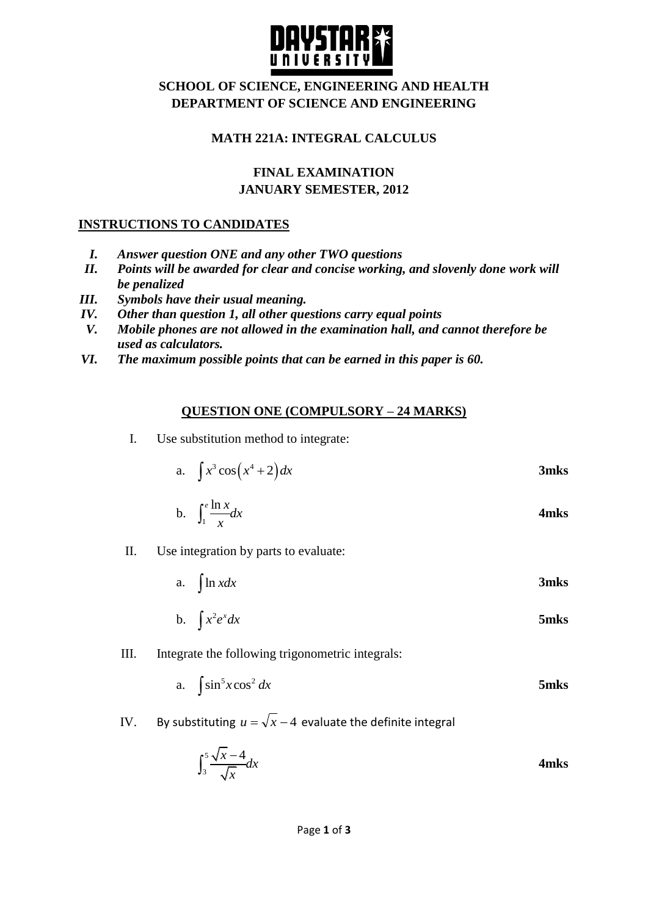

## **SCHOOL OF SCIENCE, ENGINEERING AND HEALTH DEPARTMENT OF SCIENCE AND ENGINEERING**

## **MATH 221A: INTEGRAL CALCULUS**

# **FINAL EXAMINATION JANUARY SEMESTER, 2012**

## **INSTRUCTIONS TO CANDIDATES**

- *I. Answer question ONE and any other TWO questions*
- *II. Points will be awarded for clear and concise working, and slovenly done work will be penalized*
- *III. Symbols have their usual meaning.*
- *IV. Other than question 1, all other questions carry equal points*
- *V. Mobile phones are not allowed in the examination hall, and cannot therefore be used as calculators.*
- *VI. The maximum possible points that can be earned in this paper is 60.*

### **QUESTION ONE (COMPULSORY – 24 MARKS)**

I. Use substitution method to integrate:

a. 
$$
\int x^3 \cos\left(x^4 + 2\right) dx
$$
 3mks

b. 
$$
\int_{1}^{e} \frac{\ln x}{x} dx
$$
 4mks

- II. Use integration by parts to evaluate:
	- a. ln *xdx* **3mks**

b. 
$$
\int x^2 e^x dx
$$
 5mks

III. Integrate the following trigonometric integrals:

a. 
$$
\int \sin^5 x \cos^2 dx
$$
 5mks

IV. By substituting  $u = \sqrt{x-4}$  evaluate the definite integral

$$
\int_3^5 \frac{\sqrt{x} - 4}{\sqrt{x}} dx
$$
 4mks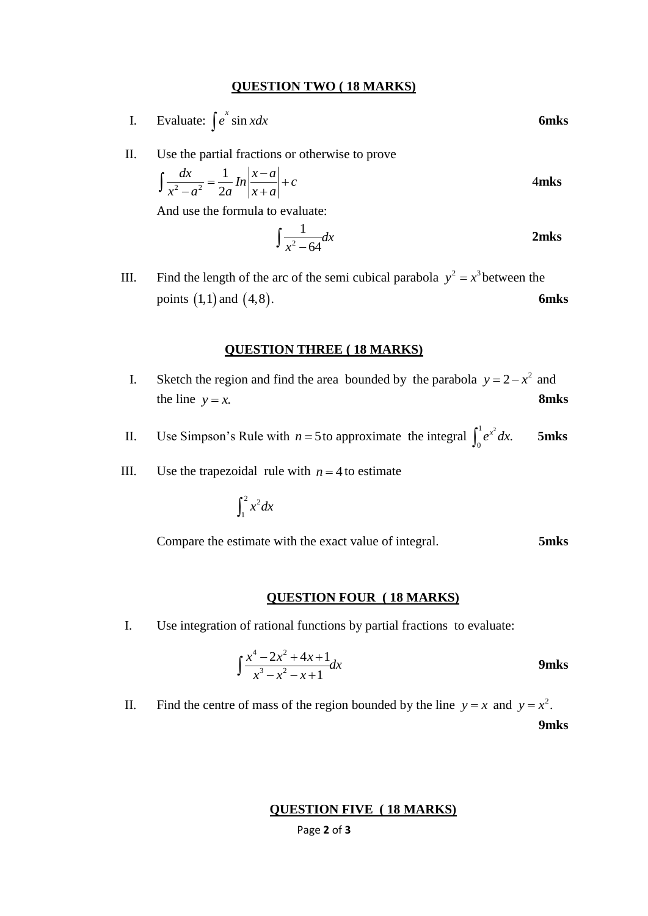#### **QUESTION TWO ( 18 MARKS)**

- I. Evaluate:  $\int e^x \sin x dx$ **6mks**
- II. Use the partial fractions or otherwise to prove

$$
\int \frac{dx}{x^2 - a^2} = \frac{1}{2a} ln \left| \frac{x - a}{x + a} \right| + c
$$
 4mks

And use the formula to evaluate:

$$
\int \frac{1}{x^2 - 64} dx
$$
 2mks

III. Find the length of the arc of the semi cubical parabola  $y^2 = x^3$  between the points  $(1,1)$  and 4,8 . **6mks**

#### **QUESTION THREE ( 18 MARKS)**

- I. Sketch the region and find the area bounded by the parabola  $y = 2 x^2$  and the line  $y = x$ . **8mks**
- II. Use Simpson's Rule with  $n = 5$  to approximate the integral  $\int_{0}^{1} e^{x^2} dx$  $\int_0^1 e^{x^2} dx$ . **5mks**
- III. Use the trapezoidal rule with  $n = 4$  to estimate

$$
\int_1^2 x^2 dx
$$

Compare the estimate with the exact value of integral. **5mks**

#### **QUESTION FOUR ( 18 MARKS)**

I. Use integration of rational functions by partial fractions to evaluate:

$$
\int \frac{x^4 - 2x^2 + 4x + 1}{x^3 - x^2 - x + 1} dx
$$
9mks

II. Find the centre of mass of the region bounded by the line  $y = x$  and  $y = x^2$ .

**9mks**

#### **QUESTION FIVE ( 18 MARKS)**

Page **2** of **3**